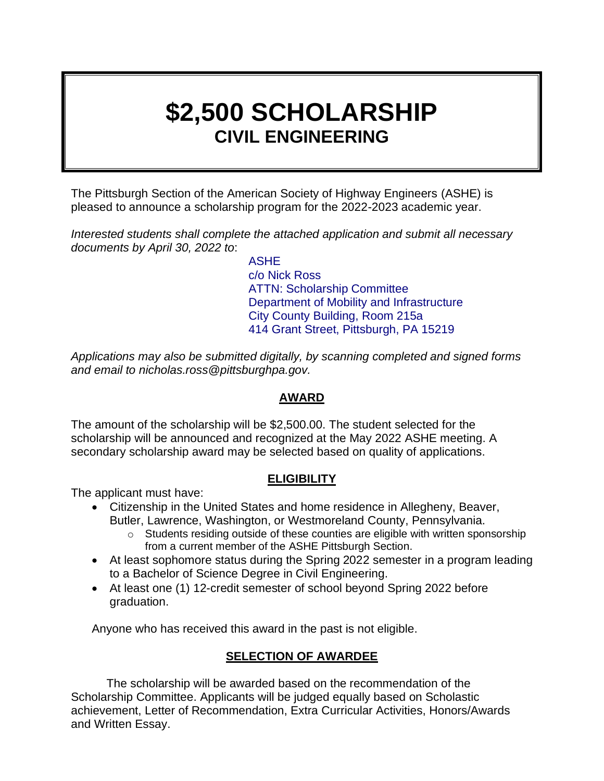# **\$2,500 SCHOLARSHIP CIVIL ENGINEERING**

The Pittsburgh Section of the American Society of Highway Engineers (ASHE) is pleased to announce a scholarship program for the 2022-2023 academic year.

*Interested students shall complete the attached application and submit all necessary documents by April 30, 2022 to*:

> ASHE c/o Nick Ross ATTN: Scholarship Committee Department of Mobility and Infrastructure City County Building, Room 215a 414 Grant Street, Pittsburgh, PA 15219

*Applications may also be submitted digitally, by scanning completed and signed forms and email to nicholas.ross@pittsburghpa.gov.*

### **AWARD**

The amount of the scholarship will be \$2,500.00. The student selected for the scholarship will be announced and recognized at the May 2022 ASHE meeting. A secondary scholarship award may be selected based on quality of applications.

#### **ELIGIBILITY**

The applicant must have:

- Citizenship in the United States and home residence in Allegheny, Beaver, Butler, Lawrence, Washington, or Westmoreland County, Pennsylvania.
	- $\circ$  Students residing outside of these counties are eligible with written sponsorship from a current member of the ASHE Pittsburgh Section.
- At least sophomore status during the Spring 2022 semester in a program leading to a Bachelor of Science Degree in Civil Engineering.
- At least one (1) 12-credit semester of school beyond Spring 2022 before graduation.

Anyone who has received this award in the past is not eligible.

## **SELECTION OF AWARDEE**

The scholarship will be awarded based on the recommendation of the Scholarship Committee. Applicants will be judged equally based on Scholastic achievement, Letter of Recommendation, Extra Curricular Activities, Honors/Awards and Written Essay.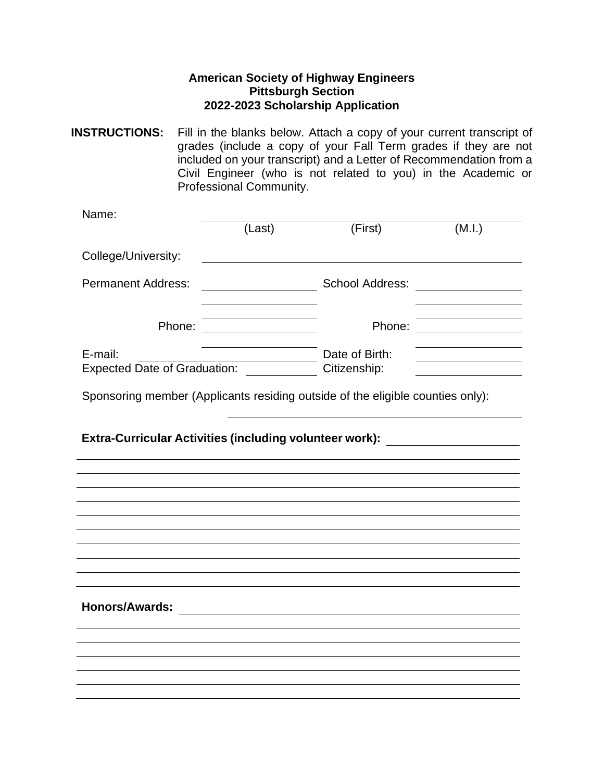#### **American Society of Highway Engineers Pittsburgh Section 2022-2023 Scholarship Application**

**INSTRUCTIONS:** Fill in the blanks below. Attach a copy of your current transcript of grades (include a copy of your Fall Term grades if they are not included on your transcript) and a Letter of Recommendation from a Civil Engineer (who is not related to you) in the Academic or Professional Community.

| Name:                                                                                                                                                              |                                                |                        |                                                                                                                           |  |  |
|--------------------------------------------------------------------------------------------------------------------------------------------------------------------|------------------------------------------------|------------------------|---------------------------------------------------------------------------------------------------------------------------|--|--|
|                                                                                                                                                                    | (Last)                                         | (First)                | (M.I.)                                                                                                                    |  |  |
| College/University:                                                                                                                                                |                                                |                        |                                                                                                                           |  |  |
| <b>Permanent Address:</b>                                                                                                                                          |                                                | <b>School Address:</b> | <u> 1989 - Jan Samuel Barbara, politik e</u> ta profesora (h. 1918).<br>1901 - Johann Stein, frantziar idazlea (h. 1918). |  |  |
| Phone:                                                                                                                                                             | <u> 1980 - Johann Barnett, fransk kongresu</u> | Phone:                 |                                                                                                                           |  |  |
| E-mail:                                                                                                                                                            |                                                | Date of Birth:         |                                                                                                                           |  |  |
| <b>Expected Date of Graduation:</b>                                                                                                                                |                                                | Citizenship:           |                                                                                                                           |  |  |
| Sponsoring member (Applicants residing outside of the eligible counties only):<br>Extra-Curricular Activities (including volunteer work): ________________________ |                                                |                        |                                                                                                                           |  |  |
|                                                                                                                                                                    |                                                |                        |                                                                                                                           |  |  |
|                                                                                                                                                                    |                                                |                        |                                                                                                                           |  |  |
|                                                                                                                                                                    |                                                |                        |                                                                                                                           |  |  |
| <b>Honors/Awards:</b>                                                                                                                                              |                                                |                        |                                                                                                                           |  |  |
|                                                                                                                                                                    |                                                |                        |                                                                                                                           |  |  |
|                                                                                                                                                                    |                                                |                        |                                                                                                                           |  |  |
|                                                                                                                                                                    |                                                |                        |                                                                                                                           |  |  |
|                                                                                                                                                                    |                                                |                        |                                                                                                                           |  |  |
|                                                                                                                                                                    |                                                |                        |                                                                                                                           |  |  |